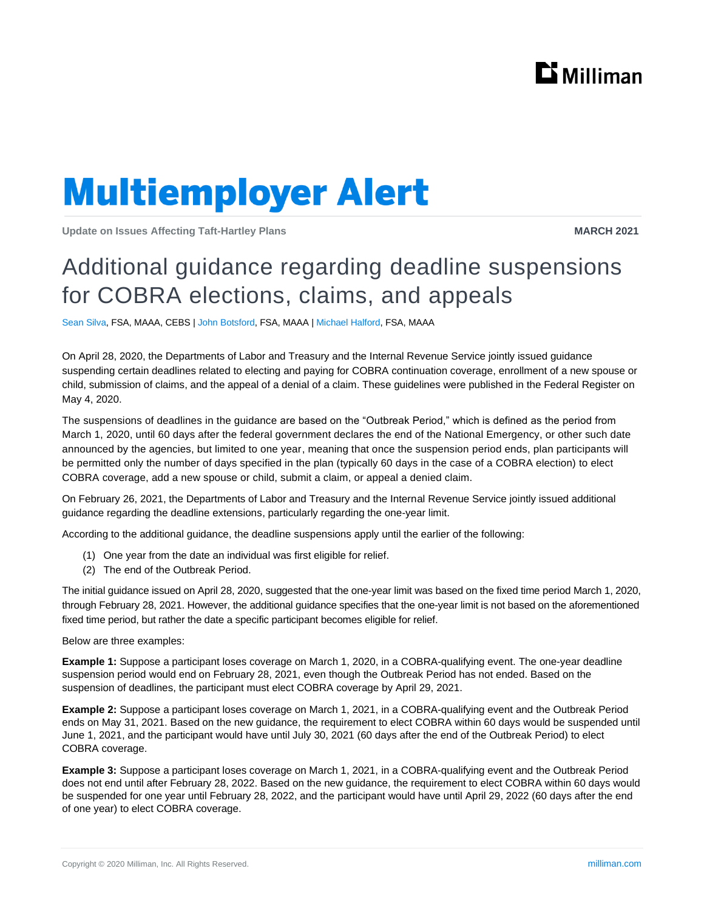

# **Multiemployer Alert**

**Update on Issues Affecting Taft-Hartley Plans MARCH 2021**

### Additional guidance regarding deadline suspensions for COBRA elections, claims, and appeals

Sean Silva, FSA, MAAA, CEBS | John Botsford, FSA, MAAA | Michael Halford, FSA, MAAA

On April 28, 2020, the Departments of Labor and Treasury and the Internal Revenue Service jointly issued guidance suspending certain deadlines related to electing and paying for COBRA continuation coverage, enrollment of a new spouse or child, submission of claims, and the appeal of a denial of a claim. These guidelines were published in the Federal Register on May 4, 2020.

The suspensions of deadlines in the guidance are based on the "Outbreak Period," which is defined as the period from March 1, 2020, until 60 days after the federal government declares the end of the National Emergency, or other such date announced by the agencies, but limited to one year, meaning that once the suspension period ends, plan participants will be permitted only the number of days specified in the plan (typically 60 days in the case of a COBRA election) to elect COBRA coverage, add a new spouse or child, submit a claim, or appeal a denied claim.

On February 26, 2021, the Departments of Labor and Treasury and the Internal Revenue Service jointly issued additional guidance regarding the deadline extensions, particularly regarding the one-year limit.

According to the additional guidance, the deadline suspensions apply until the earlier of the following:

- (1) One year from the date an individual was first eligible for relief.
- (2) The end of the Outbreak Period.

The initial guidance issued on April 28, 2020, suggested that the one-year limit was based on the fixed time period March 1, 2020, through February 28, 2021. However, the additional guidance specifies that the one-year limit is not based on the aforementioned fixed time period, but rather the date a specific participant becomes eligible for relief.

Below are three examples:

**Example 1:** Suppose a participant loses coverage on March 1, 2020, in a COBRA-qualifying event. The one-year deadline suspension period would end on February 28, 2021, even though the Outbreak Period has not ended. Based on the suspension of deadlines, the participant must elect COBRA coverage by April 29, 2021.

**Example 2:** Suppose a participant loses coverage on March 1, 2021, in a COBRA-qualifying event and the Outbreak Period ends on May 31, 2021. Based on the new guidance, the requirement to elect COBRA within 60 days would be suspended until June 1, 2021, and the participant would have until July 30, 2021 (60 days after the end of the Outbreak Period) to elect COBRA coverage.

**Example 3:** Suppose a participant loses coverage on March 1, 2021, in a COBRA-qualifying event and the Outbreak Period does not end until after February 28, 2022. Based on the new guidance, the requirement to elect COBRA within 60 days would be suspended for one year until February 28, 2022, and the participant would have until April 29, 2022 (60 days after the end of one year) to elect COBRA coverage.